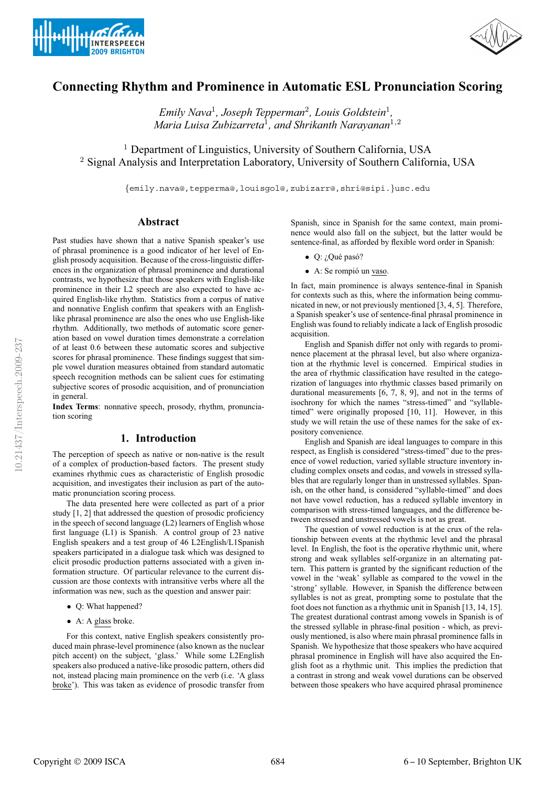



# **Connecting Rhythm and Prominence in Automatic ESL Pronunciation Scoring**

*Emily Nava*<sup>1</sup>*, Joseph Tepperman*<sup>2</sup>*, Louis Goldstein*<sup>1</sup>*, Maria Luisa Zubizarreta*<sup>1</sup>*, and Shrikanth Narayanan*<sup>1</sup>,<sup>2</sup>

<sup>1</sup> Department of Linguistics, University of Southern California, USA <sup>2</sup> Signal Analysis and Interpretation Laboratory, University of Southern California, USA

{emily.nava@,tepperma@,louisgol@,zubizarr@,shri@sipi.}usc.edu

## **Abstract**

Past studies have shown that a native Spanish speaker's use of phrasal prominence is a good indicator of her level of English prosody acquisition. Because of the cross-linguistic differences in the organization of phrasal prominence and durational contrasts, we hypothesize that those speakers with English-like prominence in their L2 speech are also expected to have acquired English-like rhythm. Statistics from a corpus of native and nonnative English confirm that speakers with an Englishlike phrasal prominence are also the ones who use English-like rhythm. Additionally, two methods of automatic score generation based on vowel duration times demonstrate a correlation of at least 0.6 between these automatic scores and subjective scores for phrasal prominence. These findings suggest that simple vowel duration measures obtained from standard automatic speech recognition methods can be salient cues for estimating subjective scores of prosodic acquisition, and of pronunciation in general.

**Index Terms**: nonnative speech, prosody, rhythm, pronunciation scoring

## **1. Introduction**

The perception of speech as native or non-native is the result of a complex of production-based factors. The present study examines rhythmic cues as characteristic of English prosodic acquisition, and investigates their inclusion as part of the automatic pronunciation scoring process.

The data presented here were collected as part of a prior study [1, 2] that addressed the question of prosodic proficiency in the speech of second language (L2) learners of English whose first language (L1) is Spanish. A control group of 23 native English speakers and a test group of 46 L2English/L1Spanish speakers participated in a dialogue task which was designed to elicit prosodic production patterns associated with a given information structure. Of particular relevance to the current discussion are those contexts with intransitive verbs where all the information was new, such as the question and answer pair:

- Q: What happened?
- A: A glass broke.

For this context, native English speakers consistently produced main phrase-level prominence (also known as the nuclear pitch accent) on the subject, 'glass.' While some L2English speakers also produced a native-like prosodic pattern, others did not, instead placing main prominence on the verb (i.e. 'A glass broke'). This was taken as evidence of prosodic transfer from Spanish, since in Spanish for the same context, main prominence would also fall on the subject, but the latter would be sentence-final, as afforded by flexible word order in Spanish:

- $\bullet$  Q: ¿Qué pasó?
- $\bullet$  A: Se rompió un vaso.

In fact, main prominence is always sentence-final in Spanish for contexts such as this, where the information being communicated in new, or not previously mentioned [3, 4, 5]. Therefore, a Spanish speaker's use of sentence-final phrasal prominence in English was found to reliably indicate a lack of English prosodic acquisition.

English and Spanish differ not only with regards to prominence placement at the phrasal level, but also where organization at the rhythmic level is concerned. Empirical studies in the area of rhythmic classification have resulted in the categorization of languages into rhythmic classes based primarily on durational measurements [6, 7, 8, 9], and not in the terms of isochrony for which the names "stress-timed" and "syllabletimed" were originally proposed [10, 11]. However, in this study we will retain the use of these names for the sake of expository convenience.

English and Spanish are ideal languages to compare in this respect, as English is considered "stress-timed" due to the presence of vowel reduction, varied syllable structure inventory including complex onsets and codas, and vowels in stressed syllables that are regularly longer than in unstressed syllables. Spanish, on the other hand, is considered "syllable-timed" and does not have vowel reduction, has a reduced syllable inventory in comparison with stress-timed languages, and the difference between stressed and unstressed vowels is not as great.

The question of vowel reduction is at the crux of the relationship between events at the rhythmic level and the phrasal level. In English, the foot is the operative rhythmic unit, where strong and weak syllables self-organize in an alternating pattern. This pattern is granted by the significant reduction of the vowel in the 'weak' syllable as compared to the vowel in the 'strong' syllable. However, in Spanish the difference between syllables is not as great, prompting some to postulate that the foot does not function as a rhythmic unit in Spanish [13, 14, 15]. The greatest durational contrast among vowels in Spanish is of the stressed syllable in phrase-final position - which, as previously mentioned, is also where main phrasal prominence falls in Spanish. We hypothesize that those speakers who have acquired phrasal prominence in English will have also acquired the English foot as a rhythmic unit. This implies the prediction that a contrast in strong and weak vowel durations can be observed between those speakers who have acquired phrasal prominence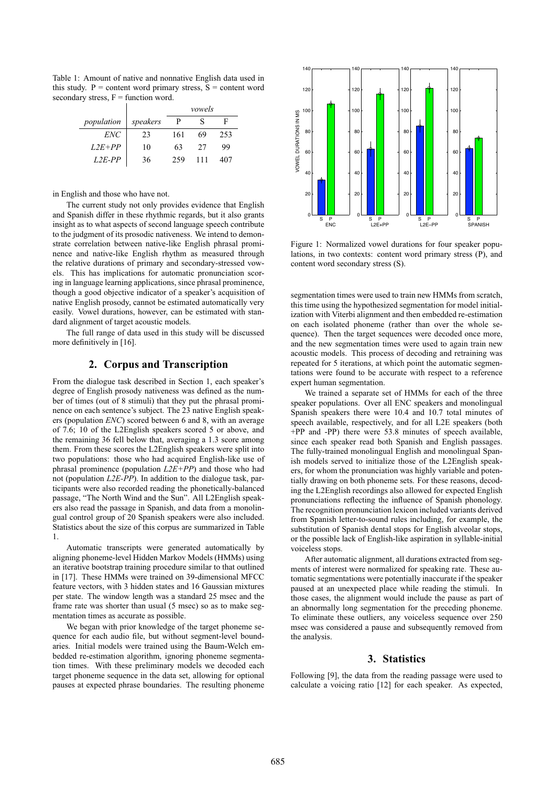Table 1: Amount of native and nonnative English data used in this study.  $P =$  content word primary stress,  $S =$  content word secondary stress,  $F =$  function word.

|            |          | vowels |    |     |
|------------|----------|--------|----|-----|
| population | speakers |        |    | н   |
| ENC        | 23       | 161    | 69 | 253 |
| $L2E+PP$   | 10       | 63     | 27 | 99  |
| $L2E-PP$   | 36       | 259    |    | 407 |

in English and those who have not.

The current study not only provides evidence that English and Spanish differ in these rhythmic regards, but it also grants insight as to what aspects of second language speech contribute to the judgment of its prosodic nativeness. We intend to demonstrate correlation between native-like English phrasal prominence and native-like English rhythm as measured through the relative durations of primary and secondary-stressed vowels. This has implications for automatic pronunciation scoring in language learning applications, since phrasal prominence, though a good objective indicator of a speaker's acquisition of native English prosody, cannot be estimated automatically very easily. Vowel durations, however, can be estimated with standard alignment of target acoustic models.

The full range of data used in this study will be discussed more definitively in [16].

# **2. Corpus and Transcription**

From the dialogue task described in Section 1, each speaker's degree of English prosody nativeness was defined as the number of times (out of 8 stimuli) that they put the phrasal prominence on each sentence's subject. The 23 native English speakers (population *ENC*) scored between 6 and 8, with an average of 7.6; 10 of the L2English speakers scored 5 or above, and the remaining 36 fell below that, averaging a 1.3 score among them. From these scores the L2English speakers were split into two populations: those who had acquired English-like use of phrasal prominence (population *L2E+PP*) and those who had not (population *L2E-PP*). In addition to the dialogue task, participants were also recorded reading the phonetically-balanced passage, "The North Wind and the Sun". All L2English speakers also read the passage in Spanish, and data from a monolingual control group of 20 Spanish speakers were also included. Statistics about the size of this corpus are summarized in Table 1.

Automatic transcripts were generated automatically by aligning phoneme-level Hidden Markov Models (HMMs) using an iterative bootstrap training procedure similar to that outlined in [17]. These HMMs were trained on 39-dimensional MFCC feature vectors, with 3 hidden states and 16 Gaussian mixtures per state. The window length was a standard 25 msec and the frame rate was shorter than usual (5 msec) so as to make segmentation times as accurate as possible.

We began with prior knowledge of the target phoneme sequence for each audio file, but without segment-level boundaries. Initial models were trained using the Baum-Welch embedded re-estimation algorithm, ignoring phoneme segmentation times. With these preliminary models we decoded each target phoneme sequence in the data set, allowing for optional pauses at expected phrase boundaries. The resulting phoneme



Figure 1: Normalized vowel durations for four speaker populations, in two contexts: content word primary stress (P), and content word secondary stress (S).

segmentation times were used to train new HMMs from scratch, this time using the hypothesized segmentation for model initialization with Viterbi alignment and then embedded re-estimation on each isolated phoneme (rather than over the whole sequence). Then the target sequences were decoded once more, and the new segmentation times were used to again train new acoustic models. This process of decoding and retraining was repeated for 5 iterations, at which point the automatic segmentations were found to be accurate with respect to a reference expert human segmentation.

We trained a separate set of HMMs for each of the three speaker populations. Over all ENC speakers and monolingual Spanish speakers there were 10.4 and 10.7 total minutes of speech available, respectively, and for all L2E speakers (both +PP and -PP) there were 53.8 minutes of speech available, since each speaker read both Spanish and English passages. The fully-trained monolingual English and monolingual Spanish models served to initialize those of the L2English speakers, for whom the pronunciation was highly variable and potentially drawing on both phoneme sets. For these reasons, decoding the L2English recordings also allowed for expected English pronunciations reflecting the influence of Spanish phonology. The recognition pronunciation lexicon included variants derived from Spanish letter-to-sound rules including, for example, the substitution of Spanish dental stops for English alveolar stops, or the possible lack of English-like aspiration in syllable-initial voiceless stops.

After automatic alignment, all durations extracted from segments of interest were normalized for speaking rate. These automatic segmentations were potentially inaccurate if the speaker paused at an unexpected place while reading the stimuli. In those cases, the alignment would include the pause as part of an abnormally long segmentation for the preceding phoneme. To eliminate these outliers, any voiceless sequence over 250 msec was considered a pause and subsequently removed from the analysis.

## **3. Statistics**

Following [9], the data from the reading passage were used to calculate a voicing ratio [12] for each speaker. As expected,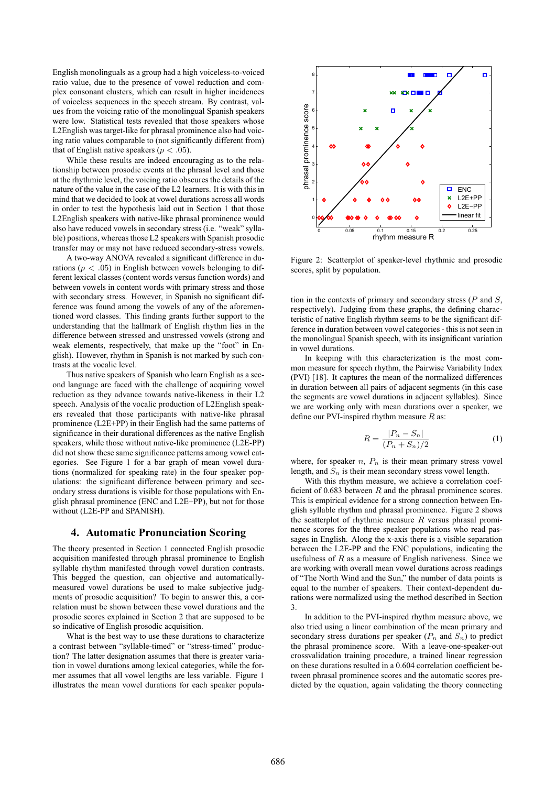English monolinguals as a group had a high voiceless-to-voiced ratio value, due to the presence of vowel reduction and complex consonant clusters, which can result in higher incidences of voiceless sequences in the speech stream. By contrast, values from the voicing ratio of the monolingual Spanish speakers were low. Statistical tests revealed that those speakers whose L2English was target-like for phrasal prominence also had voicing ratio values comparable to (not significantly different from) that of English native speakers ( $p < .05$ ).

While these results are indeed encouraging as to the relationship between prosodic events at the phrasal level and those at the rhythmic level, the voicing ratio obscures the details of the nature of the value in the case of the L2 learners. It is with this in mind that we decided to look at vowel durations across all words in order to test the hypothesis laid out in Section 1 that those L2English speakers with native-like phrasal prominence would also have reduced vowels in secondary stress (i.e. "weak" syllable) positions, whereas those L2 speakers with Spanish prosodic transfer may or may not have reduced secondary-stress vowels.

A two-way ANOVA revealed a significant difference in durations ( $p < .05$ ) in English between vowels belonging to different lexical classes (content words versus function words) and between vowels in content words with primary stress and those with secondary stress. However, in Spanish no significant difference was found among the vowels of any of the aforementioned word classes. This finding grants further support to the understanding that the hallmark of English rhythm lies in the difference between stressed and unstressed vowels (strong and weak elements, respectively, that make up the "foot" in English). However, rhythm in Spanish is not marked by such contrasts at the vocalic level.

Thus native speakers of Spanish who learn English as a second language are faced with the challenge of acquiring vowel reduction as they advance towards native-likeness in their L2 speech. Analysis of the vocalic production of L2English speakers revealed that those participants with native-like phrasal prominence (L2E+PP) in their English had the same patterns of significance in their durational differences as the native English speakers, while those without native-like prominence (L2E-PP) did not show these same significance patterns among vowel categories. See Figure 1 for a bar graph of mean vowel durations (normalized for speaking rate) in the four speaker populations: the significant difference between primary and secondary stress durations is visible for those populations with English phrasal prominence (ENC and L2E+PP), but not for those without (L2E-PP and SPANISH).

#### **4. Automatic Pronunciation Scoring**

The theory presented in Section 1 connected English prosodic acquisition manifested through phrasal prominence to English syllable rhythm manifested through vowel duration contrasts. This begged the question, can objective and automaticallymeasured vowel durations be used to make subjective judgments of prosodic acquisition? To begin to answer this, a correlation must be shown between these vowel durations and the prosodic scores explained in Section 2 that are supposed to be so indicative of English prosodic acquisition.

What is the best way to use these durations to characterize a contrast between "syllable-timed" or "stress-timed" production? The latter designation assumes that there is greater variation in vowel durations among lexical categories, while the former assumes that all vowel lengths are less variable. Figure 1 illustrates the mean vowel durations for each speaker popula-



Figure 2: Scatterplot of speaker-level rhythmic and prosodic scores, split by population.

tion in the contexts of primary and secondary stress  $(P \text{ and } S, P)$ respectively). Judging from these graphs, the defining characteristic of native English rhythm seems to be the significant difference in duration between vowel categories - this is not seen in the monolingual Spanish speech, with its insignificant variation in vowel durations.

In keeping with this characterization is the most common measure for speech rhythm, the Pairwise Variability Index (PVI) [18]. It captures the mean of the normalized differences in duration between all pairs of adjacent segments (in this case the segments are vowel durations in adjacent syllables). Since we are working only with mean durations over a speaker, we define our PVI-inspired rhythm measure  $R$  as:

$$
R = \frac{|P_n - S_n|}{(P_n + S_n)/2} \tag{1}
$$

where, for speaker  $n$ ,  $P_n$  is their mean primary stress vowel length, and  $S_n$  is their mean secondary stress vowel length.

With this rhythm measure, we achieve a correlation coefficient of 0.683 between  $R$  and the phrasal prominence scores. This is empirical evidence for a strong connection between English syllable rhythm and phrasal prominence. Figure 2 shows the scatterplot of rhythmic measure  $R$  versus phrasal prominence scores for the three speaker populations who read passages in English. Along the x-axis there is a visible separation between the L2E-PP and the ENC populations, indicating the usefulness of  $R$  as a measure of English nativeness. Since we are working with overall mean vowel durations across readings of "The North Wind and the Sun," the number of data points is equal to the number of speakers. Their context-dependent durations were normalized using the method described in Section 3.

In addition to the PVI-inspired rhythm measure above, we also tried using a linear combination of the mean primary and secondary stress durations per speaker  $(P_n$  and  $S_n)$  to predict the phrasal prominence score. With a leave-one-speaker-out crossvalidation training procedure, a trained linear regression on these durations resulted in a 0.604 correlation coefficient between phrasal prominence scores and the automatic scores predicted by the equation, again validating the theory connecting